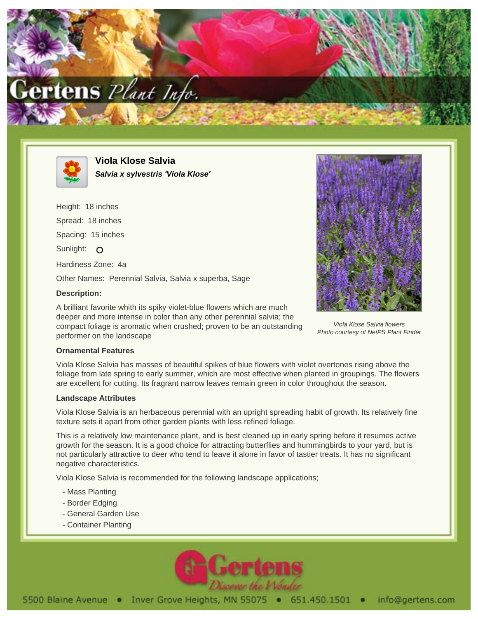



**Viola Klose Salvia Salvia x sylvestris 'Viola Klose'**

Height: 18 inches Spread: 18 inches Spacing: 15 inches Sunlight: O Hardiness Zone: 4a Other Names: Perennial Salvia, Salvia x superba, Sage **Description:**

A brilliant favorite whith its spiky violet-blue flowers which are much deeper and more intense in color than any other perennial salvia; the compact foliage is aromatic when crushed; proven to be an outstanding performer on the landscape



Viola Klose Salvia flowers Photo courtesy of NetPS Plant Finder

## **Ornamental Features**

Viola Klose Salvia has masses of beautiful spikes of blue flowers with violet overtones rising above the foliage from late spring to early summer, which are most effective when planted in groupings. The flowers are excellent for cutting. Its fragrant narrow leaves remain green in color throughout the season.

## **Landscape Attributes**

Viola Klose Salvia is an herbaceous perennial with an upright spreading habit of growth. Its relatively fine texture sets it apart from other garden plants with less refined foliage.

This is a relatively low maintenance plant, and is best cleaned up in early spring before it resumes active growth for the season. It is a good choice for attracting butterflies and hummingbirds to your yard, but is not particularly attractive to deer who tend to leave it alone in favor of tastier treats. It has no significant negative characteristics.

Viola Klose Salvia is recommended for the following landscape applications;

- Mass Planting
- Border Edging
- General Garden Use
- Container Planting